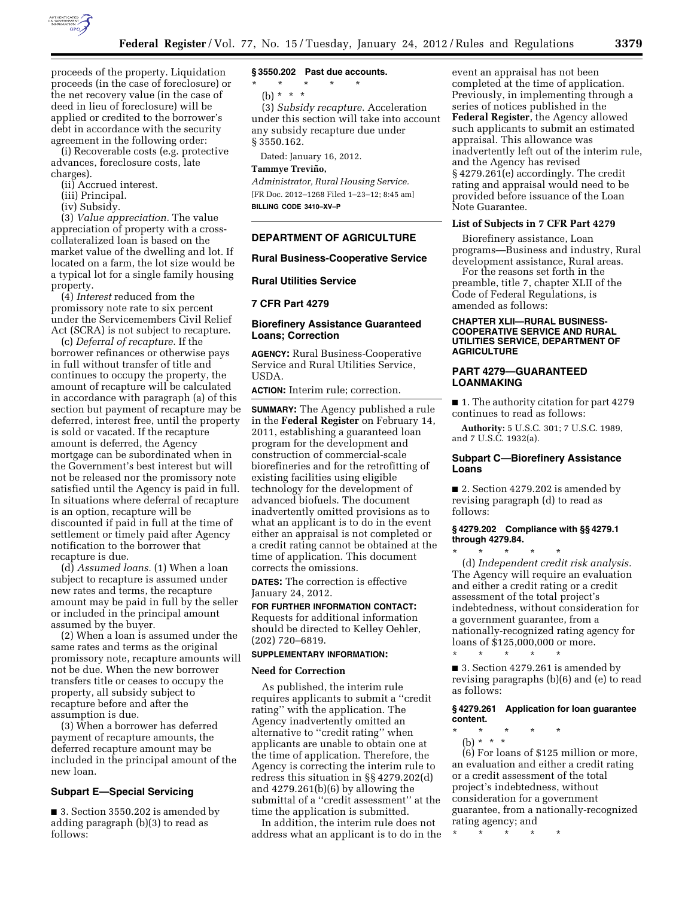

proceeds of the property. Liquidation proceeds (in the case of foreclosure) or the net recovery value (in the case of deed in lieu of foreclosure) will be applied or credited to the borrower's debt in accordance with the security agreement in the following order:

(i) Recoverable costs (e.g. protective advances, foreclosure costs, late charges).

(ii) Accrued interest.

(iii) Principal.

(iv) Subsidy.

(3) *Value appreciation.* The value appreciation of property with a crosscollateralized loan is based on the market value of the dwelling and lot. If located on a farm, the lot size would be a typical lot for a single family housing property.

(4) *Interest* reduced from the promissory note rate to six percent under the Servicemembers Civil Relief Act (SCRA) is not subject to recapture.

(c) *Deferral of recapture.* If the borrower refinances or otherwise pays in full without transfer of title and continues to occupy the property, the amount of recapture will be calculated in accordance with paragraph (a) of this section but payment of recapture may be deferred, interest free, until the property is sold or vacated. If the recapture amount is deferred, the Agency mortgage can be subordinated when in the Government's best interest but will not be released nor the promissory note satisfied until the Agency is paid in full. In situations where deferral of recapture is an option, recapture will be discounted if paid in full at the time of settlement or timely paid after Agency notification to the borrower that recapture is due.

(d) *Assumed loans.* (1) When a loan subject to recapture is assumed under new rates and terms, the recapture amount may be paid in full by the seller or included in the principal amount assumed by the buyer.

(2) When a loan is assumed under the same rates and terms as the original promissory note, recapture amounts will not be due. When the new borrower transfers title or ceases to occupy the property, all subsidy subject to recapture before and after the assumption is due.

(3) When a borrower has deferred payment of recapture amounts, the deferred recapture amount may be included in the principal amount of the new loan.

# **Subpart E—Special Servicing**

■ 3. Section 3550.202 is amended by adding paragraph (b)(3) to read as follows:

# **§ 3550.202 Past due accounts.**

\* \* \* \* \*

(b) \* \* \*

(3) *Subsidy recapture.* Acceleration under this section will take into account any subsidy recapture due under § 3550.162.

Dated: January 16, 2012.

# **Tammye Trevin˜ o,**

*Administrator, Rural Housing Service.*  [FR Doc. 2012–1268 Filed 1–23–12; 8:45 am] **BILLING CODE 3410–XV–P** 

### **DEPARTMENT OF AGRICULTURE**

#### **Rural Business-Cooperative Service**

#### **Rural Utilities Service**

**7 CFR Part 4279** 

# **Biorefinery Assistance Guaranteed Loans; Correction**

**AGENCY:** Rural Business-Cooperative Service and Rural Utilities Service, USDA.

**ACTION:** Interim rule; correction.

**SUMMARY:** The Agency published a rule in the **Federal Register** on February 14, 2011, establishing a guaranteed loan program for the development and construction of commercial-scale biorefineries and for the retrofitting of existing facilities using eligible technology for the development of advanced biofuels. The document inadvertently omitted provisions as to what an applicant is to do in the event either an appraisal is not completed or a credit rating cannot be obtained at the time of application. This document corrects the omissions.

**DATES:** The correction is effective January 24, 2012.

**FOR FURTHER INFORMATION CONTACT:**  Requests for additional information should be directed to Kelley Oehler, (202) 720–6819.

#### **SUPPLEMENTARY INFORMATION:**

#### **Need for Correction**

As published, the interim rule requires applicants to submit a ''credit rating'' with the application. The Agency inadvertently omitted an alternative to ''credit rating'' when applicants are unable to obtain one at the time of application. Therefore, the Agency is correcting the interim rule to redress this situation in §§ 4279.202(d) and 4279.261(b)(6) by allowing the submittal of a ''credit assessment'' at the time the application is submitted.

In addition, the interim rule does not address what an applicant is to do in the

event an appraisal has not been completed at the time of application. Previously, in implementing through a series of notices published in the **Federal Register**, the Agency allowed such applicants to submit an estimated appraisal. This allowance was inadvertently left out of the interim rule, and the Agency has revised § 4279.261(e) accordingly. The credit rating and appraisal would need to be provided before issuance of the Loan Note Guarantee.

# **List of Subjects in 7 CFR Part 4279**

Biorefinery assistance, Loan programs—Business and industry, Rural development assistance, Rural areas.

For the reasons set forth in the preamble, title 7, chapter XLII of the Code of Federal Regulations, is amended as follows:

#### **CHAPTER XLII—RURAL BUSINESS-COOPERATIVE SERVICE AND RURAL UTILITIES SERVICE, DEPARTMENT OF AGRICULTURE**

## **PART 4279—GUARANTEED LOANMAKING**

■ 1. The authority citation for part 4279 continues to read as follows:

**Authority:** 5 U.S.C. 301; 7 U.S.C. 1989, and 7 U.S.C. 1932(a).

# **Subpart C—Biorefinery Assistance Loans**

■ 2. Section 4279.202 is amended by revising paragraph (d) to read as follows:

#### **§ 4279.202 Compliance with §§ 4279.1 through 4279.84.**

\* \* \* \* \* (d) *Independent credit risk analysis.*  The Agency will require an evaluation and either a credit rating or a credit assessment of the total project's indebtedness, without consideration for a government guarantee, from a nationally-recognized rating agency for loans of \$125,000,000 or more. \* \* \* \* \*

■ 3. Section 4279.261 is amended by revising paragraphs (b)(6) and (e) to read as follows:

# **§ 4279.261 Application for loan guarantee content.**

\* \* \* \* \*

(b) \* \* \* (6) For loans of \$125 million or more, an evaluation and either a credit rating or a credit assessment of the total project's indebtedness, without consideration for a government guarantee, from a nationally-recognized rating agency; and

\* \* \* \* \*